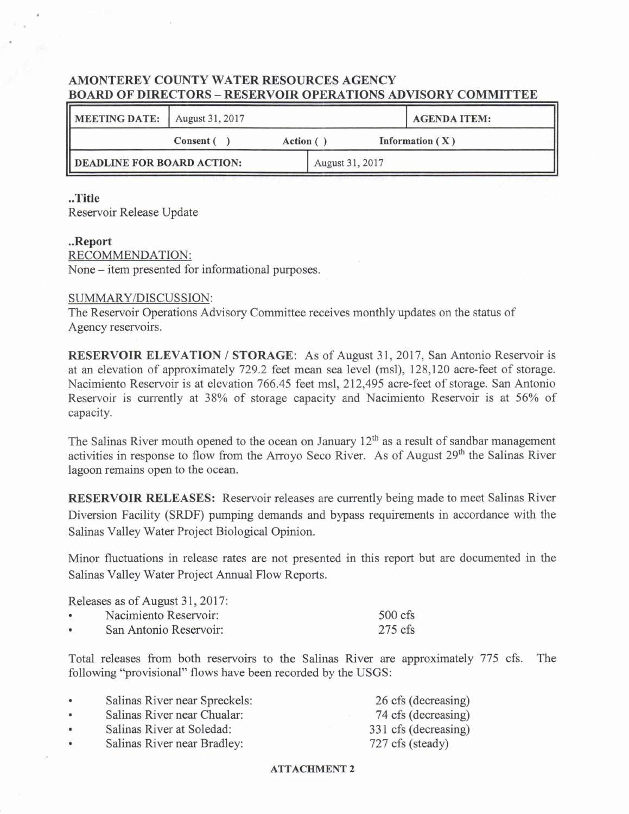## AMONTEREY COUNTY WATER RESOURCES AGENCY BOARD OF DIRECTORS― RESERVOIR OPERATIONS ADVISORY COMMITTEE

| <b>MEETING DATE:</b>                        | August 31, 2017 |                 |  |  | <b>AGENDA ITEM:</b> |
|---------------------------------------------|-----------------|-----------------|--|--|---------------------|
| Information $(X)$<br>Consent (<br>Action () |                 |                 |  |  |                     |
| DEADLINE FOR BOARD ACTION:                  |                 | August 31, 2017 |  |  |                     |

### ..Title

Reservoir Release Update

### ..Report

RECOMMENDATION: None – item presented for informational purposes.

## SUMMARY/DISCUSSION:

The Reservoir Operations Advisory Committee receives monthly updates on the status of Agency reservoirs.

RESERVOIR ELEVATION / STORAGE: As of August 31,2017, San Antonio Reservoir is at an elevation of approximately 729.2 feet mean sea level (msl), 128,120 acre-feet of storage. Nacimiento Reservoir is at elevation 766.45 feet msl, 212,495 acre-feet of storage. San Antonio Reservoir is currently at 38% of storage capacity and Nacimiento Reservoir is at 56% of capacity.

The Salinas River mouth opened to the ocean on January  $12<sup>th</sup>$  as a result of sandbar management activities in response to flow from the Arroyo Seco River. As of August 29<sup>th</sup> the Salinas River lagoon remains open to the ocean.

RESERVOIR RELEASES: Reservoir releases are currently being made to meet Salinas River Diversion Facility (SRDF) pumping demands and bypass requirements in accordance with the Salinas Valley Water Project Biological Opinion.

Minor fluctuations in release rates are not presented in this report but are documented in the Salinas Valley Water Project Annual Flow Reports.

|           | Releases as of August 31, 2017: |                   |
|-----------|---------------------------------|-------------------|
| $\bullet$ | Nacimiento Reservoir:           | $500 \text{ cfs}$ |
| $\bullet$ | San Antonio Reservoir:          | $275 \text{ cfs}$ |

Total releases from both reservoirs to the Salinas River are approximately 775 cfs. The following "provisional" flows have been recorded by the USGS:

| $\bullet$ | Salinas River near Spreckels: | 26 cfs (decreasing)  |
|-----------|-------------------------------|----------------------|
| $\bullet$ | Salinas River near Chualar:   | 74 cfs (decreasing)  |
| $\bullet$ | Salinas River at Soledad:     | 331 cfs (decreasing) |
| $\bullet$ | Salinas River near Bradley:   | 727 cfs (steady)     |

### ATTACHMENT 2